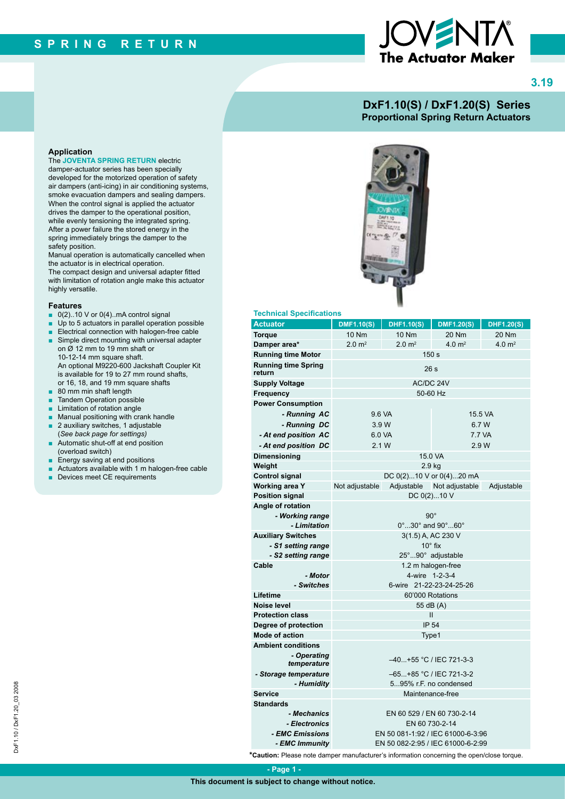# The Actuator Maker



#### **DxF1.10(S) / DxF1.20(S) Series Proportional Spring Return Actuators**

#### **Application**

The **JOVENTA SPRING RETURN** electric damper-actuator series has been specially developed for the motorized operation of safety air dampers (anti-icing) in air conditioning systems, smoke evacuation dampers and sealing dampers. When the control signal is applied the actuator drives the damper to the operational position, while evenly tensioning the integrated spring. After a power failure the stored energy in the spring immediately brings the damper to the safety position.

Manual operation is automatically cancelled when the actuator is in electrical operation. The compact design and universal adapter fitted with limitation of rotation angle make this actuator highly versatile.

#### **Features**

- $\Box$  0(2)..10 V or 0(4)..mA control signal
- Up to 5 actuators in parallel operation possible
- Electrical connection with halogen-free cable
- Simple direct mounting with universal adapter on Ø 12 mm to 19 mm shaft or 10-12-14 mm square shaft. An optional M9220-600 Jackshaft Coupler Kit is available for 19 to 27 mm round shafts, or 16, 18, and 19 mm square shafts
- 80 mm min shaft length
- Tandem Operation possible
- Limitation of rotation angle
- Manual positioning with crank handle
- 2 auxiliary switches, 1 adjustable
- (*See back page for settings)* ■ Automatic shut-off at end position (overload switch)
- Energy saving at end positions
- Actuators available with 1 m halogen-free cable
- Devices meet CE requirements



#### **Technical Specifications**

| <b>Actuator</b>                      | <b>DMF1.10(S)</b>                                 | <b>DHF1.10(S)</b> | <b>DMF1.20(S)</b>               | <b>DHF1.20(S)</b> |
|--------------------------------------|---------------------------------------------------|-------------------|---------------------------------|-------------------|
| <b>Torque</b>                        | 10 Nm                                             | <b>10 Nm</b>      | 20 Nm                           | 20 Nm             |
| Damper area*                         | $2.0 \text{ m}^2$                                 | $2.0 \text{ m}^2$ | 4.0 $m2$                        | 4.0 $m2$          |
| <b>Running time Motor</b>            | 150 s                                             |                   |                                 |                   |
| <b>Running time Spring</b><br>return | 26 <sub>s</sub>                                   |                   |                                 |                   |
| <b>Supply Voltage</b>                | AC/DC 24V                                         |                   |                                 |                   |
| Frequency                            | 50-60 Hz                                          |                   |                                 |                   |
| <b>Power Consumption</b>             |                                                   |                   |                                 |                   |
| - Running AC                         | 9.6 VA                                            |                   | 15.5 VA                         |                   |
| - Running DC                         | 3.9 W                                             |                   | 6.7 W                           |                   |
| - At end position AC                 | 6.0 VA                                            |                   | 7.7 VA                          |                   |
| - At end position DC                 | 2.1 W                                             |                   | 2.9 W                           |                   |
| <b>Dimensioning</b>                  | 15.0 VA                                           |                   |                                 |                   |
| Weight                               | 2.9 kg                                            |                   |                                 |                   |
| <b>Control signal</b>                |                                                   |                   | DC $0(2)10 \vee$ or $0(4)20$ mA |                   |
| Working area Y                       | Not adjustable                                    |                   | Adjustable Not adjustable       | Adjustable        |
| <b>Position signal</b>               | DC 0(2)10 V                                       |                   |                                 |                   |
| Angle of rotation                    |                                                   |                   |                                 |                   |
| - Working range                      | $90^{\circ}$                                      |                   |                                 |                   |
| - Limitation                         | $0^\circ$ 30 $^\circ$ and 90 $^\circ$ 60 $^\circ$ |                   |                                 |                   |
| <b>Auxiliary Switches</b>            | 3(1.5) A, AC 230 V                                |                   |                                 |                   |
| - S1 setting range                   | $10^\circ$ fix                                    |                   |                                 |                   |
| - S2 setting range                   | 25°90° adjustable                                 |                   |                                 |                   |
| Cable                                | 1.2 m halogen-free                                |                   |                                 |                   |
| - Motor                              | 4-wire 1-2-3-4                                    |                   |                                 |                   |
| - Switches                           | 6-wire 21-22-23-24-25-26                          |                   |                                 |                   |
| Lifetime<br>Noise level              | 60'000 Rotations                                  |                   |                                 |                   |
| <b>Protection class</b>              | 55 dB (A)<br>Ш                                    |                   |                                 |                   |
| Degree of protection                 | <b>IP 54</b>                                      |                   |                                 |                   |
| <b>Mode of action</b>                | Type1                                             |                   |                                 |                   |
| <b>Ambient conditions</b>            |                                                   |                   |                                 |                   |
| - Operating                          |                                                   |                   |                                 |                   |
| temperature                          | -40+55 °C / IEC 721-3-3                           |                   |                                 |                   |
| - Storage temperature                | -65+85 °C / IEC 721-3-2                           |                   |                                 |                   |
| - Humidity                           | 595% r.F. no condensed                            |                   |                                 |                   |
| Service                              | Maintenance-free                                  |                   |                                 |                   |
| <b>Standards</b>                     |                                                   |                   |                                 |                   |
| - Mechanics                          | EN 60 529 / EN 60 730-2-14                        |                   |                                 |                   |
| - Electronics                        | EN 60 730-2-14                                    |                   |                                 |                   |
| <i>- EMC Emissions</i>               | EN 50 081-1:92 / IEC 61000-6-3:96                 |                   |                                 |                   |
| - EMC Immunity                       | EN 50 082-2:95 / IEC 61000-6-2:99                 |                   |                                 |                   |

**\*Caution:** Please note damper manufacturer's information concerning the open/close torque.

 **- Page 1 -**

**This document is subject to change without notice.**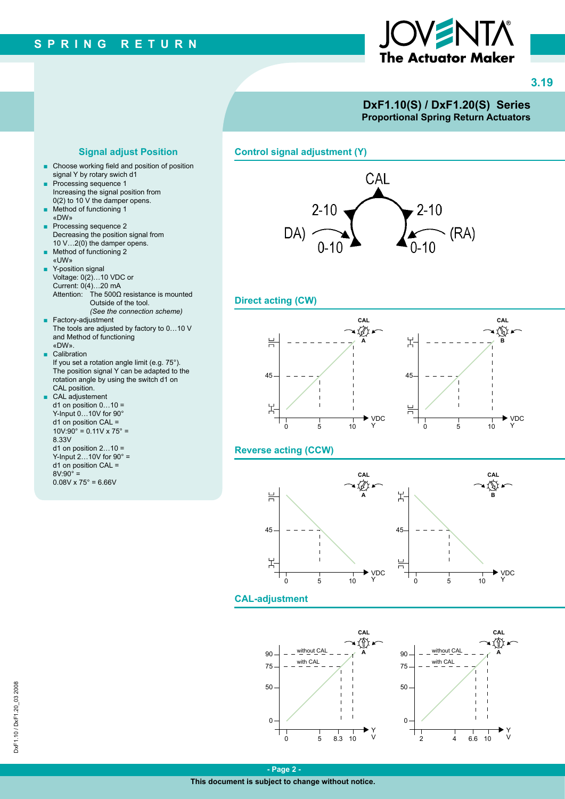

**3.19**

#### **DxF1.10(S) / DxF1.20(S) Series Proportional Spring Return Actuators**

**Signal adjust Position Control signal adjustment (Y)**



#### **Direct acting (CW)**



#### **Reverse acting (CCW)**



#### **CAL-adjustment**





- Choose working field and position of position signal Y by rotary swich d1
- Processing sequence 1 Increasing the signal position from 0(2) to 10 V the damper opens.
- Method of functioning 1 «DW»
- Processing sequence 2 Decreasing the position signal from 10 V…2(0) the damper opens.
- Method of functioning 2 «UW»
- Y-position signal Voltage: 0(2)…10 VDC or Current: 0(4)…20 mA Attention: The 500Ω resistance is mounted Outside of the tool. *(See the connection scheme)*
- Factory-adjustment The tools are adjusted by factory to 0…10 V and Method of functioning «DW».
- Calibration If you set a rotation angle limit (e.g. 75°). The position signal Y can be adapted to the rotation angle by using the switch d1 on CAL position. ■ CAL adjustement
- $d1$  on position  $0...10 =$ Y-Input 0...10V for 90°  $d1$  on position CAL =  $10V:90^{\circ} = 0.11V \times 75^{\circ} =$ 8.33V d1 on position  $2...10 =$ Y-Input  $2...10V$  for  $90^\circ$  = d1 on position CAL =  $8V:90^{\circ} =$  $0.08V \times 75^\circ = 6.66V$

**This document is subject to change without notice.**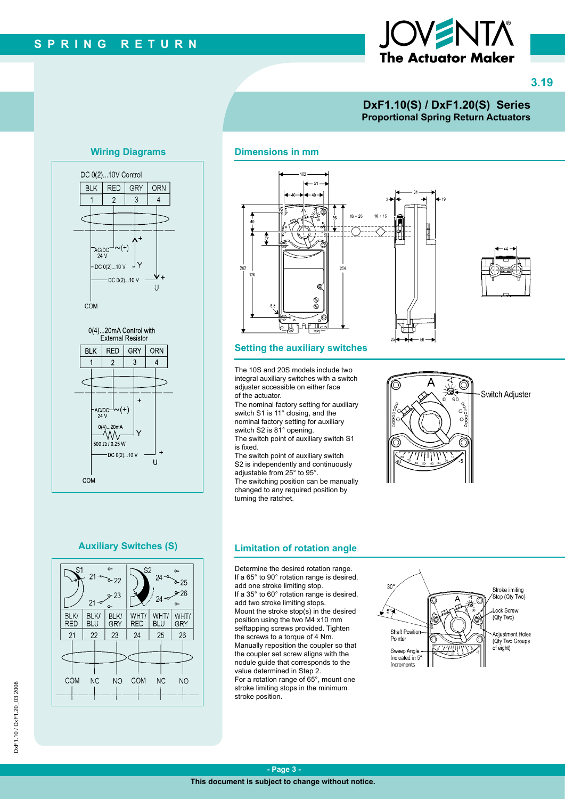# The Actuator Maker

**3.19**

#### **DxF1.10(S) / DxF1.20(S) Series Proportional Spring Return Actuators**

#### **Wiring Diagrams**



### $-51$  $-20$  $10 + 10$ 254 ම  $\otimes$ **A**AP <u>্রাচ্</u>য

#### **Setting the auxiliary switches**

**Dimensions in mm**

The 10S and 20S models include two integral auxiliary switches with a switch adjuster accessible on either face of the actuator.

The nominal factory setting for auxiliary switch S1 is 11° closing, and the nominal factory setting for auxiliary switch S2 is 81° opening.

The switch point of auxiliary switch S1 is fixed. The switch point of auxiliary switch

S2 is independently and continuously adjustable from 25° to 95°. The switching position can be manually changed to any required position by turning the ratchet.

## .Ò Switch Adjuster ೲೲೲ

#### **Auxiliary Switches (S)**



#### **Limitation of rotation angle**

Determine the desired rotation range. If a 65° to 90° rotation range is desired, add one stroke limiting stop. If a 35° to 60° rotation range is desired, add two stroke limiting stops. Mount the stroke stop(s) in the desired position using the two M4 x10 mm selftapping screws provided. Tighten the screws to a torque of 4 Nm. Manually reposition the coupler so that the coupler set screw aligns with the nodule guide that corresponds to the value determined in Step 2. For a rotation range of 65°, mount one stroke limiting stops in the minimum stroke position.